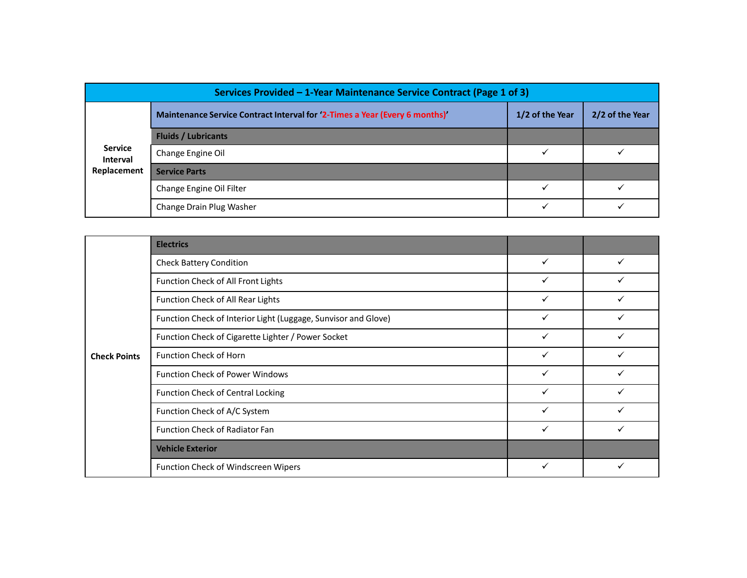| Services Provided - 1-Year Maintenance Service Contract (Page 1 of 3) |                                                                             |                 |                 |  |  |
|-----------------------------------------------------------------------|-----------------------------------------------------------------------------|-----------------|-----------------|--|--|
|                                                                       | Maintenance Service Contract Interval for '2-Times a Year (Every 6 months)' | 1/2 of the Year | 2/2 of the Year |  |  |
|                                                                       | <b>Fluids / Lubricants</b>                                                  |                 |                 |  |  |
| <b>Service</b><br>Interval                                            | Change Engine Oil                                                           | $\checkmark$    | $\checkmark$    |  |  |
| Replacement                                                           | <b>Service Parts</b>                                                        |                 |                 |  |  |
|                                                                       | Change Engine Oil Filter                                                    | $\checkmark$    | $\checkmark$    |  |  |
|                                                                       | Change Drain Plug Washer                                                    | $\checkmark$    | $\checkmark$    |  |  |
|                                                                       |                                                                             |                 |                 |  |  |
|                                                                       |                                                                             |                 |                 |  |  |
|                                                                       | <b>Electrics</b>                                                            |                 |                 |  |  |
|                                                                       | <b>Check Battery Condition</b>                                              | $\checkmark$    | $\checkmark$    |  |  |
|                                                                       | Function Check of All Front Lights                                          | $\checkmark$    | $\checkmark$    |  |  |
|                                                                       | Function Check of All Rear Lights                                           | $\checkmark$    | $\checkmark$    |  |  |
|                                                                       | Function Check of Interior Light (Luggage, Sunvisor and Glove)              | $\checkmark$    | $\checkmark$    |  |  |
|                                                                       | Function Check of Cigarette Lighter / Power Socket                          | $\checkmark$    | $\checkmark$    |  |  |

|                                           | Services Provided - 1-Year Maintenance Service Contract (Page 1 of 3)       |                 |                 |
|-------------------------------------------|-----------------------------------------------------------------------------|-----------------|-----------------|
|                                           | Maintenance Service Contract Interval for '2-Times a Year (Every 6 months)' | 1/2 of the Year | 2/2 of the Year |
| <b>Service</b><br>Interval<br>Replacement | <b>Fluids / Lubricants</b>                                                  |                 |                 |
|                                           | Change Engine Oil                                                           | $\checkmark$    | $\checkmark$    |
|                                           | <b>Service Parts</b>                                                        |                 |                 |
|                                           | Change Engine Oil Filter                                                    | $\checkmark$    | $\checkmark$    |
|                                           | Change Drain Plug Washer                                                    | $\checkmark$    | $\checkmark$    |
|                                           |                                                                             |                 |                 |
| <b>Check Points</b>                       | <b>Electrics</b>                                                            |                 |                 |
|                                           | <b>Check Battery Condition</b>                                              | $\checkmark$    | $\checkmark$    |
|                                           | Function Check of All Front Lights                                          | $\checkmark$    | $\checkmark$    |
|                                           | Function Check of All Rear Lights                                           | $\checkmark$    | $\checkmark$    |
|                                           | Function Check of Interior Light (Luggage, Sunvisor and Glove)              | $\checkmark$    | $\checkmark$    |
|                                           | Function Check of Cigarette Lighter / Power Socket                          | $\checkmark$    | $\checkmark$    |
|                                           | Function Check of Horn                                                      | $\checkmark$    | $\checkmark$    |
|                                           | Function Check of Power Windows                                             | $\checkmark$    | $\checkmark$    |
|                                           | <b>Function Check of Central Locking</b>                                    | $\checkmark$    | $\checkmark$    |
|                                           | Function Check of A/C System                                                | $\checkmark$    | $\checkmark$    |
|                                           | Function Check of Radiator Fan                                              | $\checkmark$    | $\checkmark$    |
|                                           | <b>Vehicle Exterior</b>                                                     |                 |                 |
|                                           | Function Check of Windscreen Wipers                                         | $\checkmark$    | $\checkmark$    |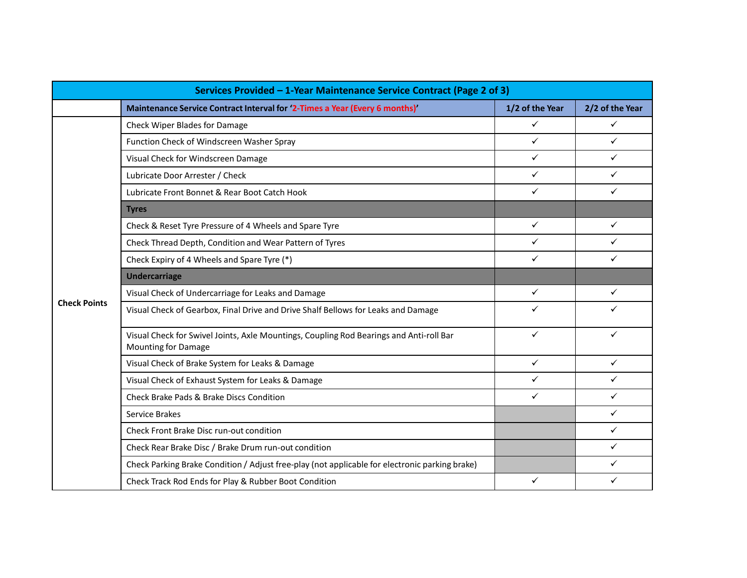|                     | Services Provided - 1-Year Maintenance Service Contract (Page 2 of 3)                                          |                 |                 |
|---------------------|----------------------------------------------------------------------------------------------------------------|-----------------|-----------------|
|                     | Maintenance Service Contract Interval for '2-Times a Year (Every 6 months)'                                    | 1/2 of the Year | 2/2 of the Year |
|                     | Check Wiper Blades for Damage                                                                                  | $\checkmark$    | $\checkmark$    |
|                     | Function Check of Windscreen Washer Spray                                                                      | $\checkmark$    | $\checkmark$    |
|                     | Visual Check for Windscreen Damage                                                                             | $\checkmark$    | $\checkmark$    |
|                     | Lubricate Door Arrester / Check                                                                                | $\checkmark$    | $\checkmark$    |
|                     | Lubricate Front Bonnet & Rear Boot Catch Hook                                                                  | $\checkmark$    | $\checkmark$    |
|                     | <b>Tyres</b>                                                                                                   |                 |                 |
|                     | Check & Reset Tyre Pressure of 4 Wheels and Spare Tyre                                                         | $\checkmark$    | $\checkmark$    |
|                     | Check Thread Depth, Condition and Wear Pattern of Tyres                                                        | $\checkmark$    | $\checkmark$    |
|                     | Check Expiry of 4 Wheels and Spare Tyre (*)                                                                    | $\checkmark$    | $\checkmark$    |
|                     | <b>Undercarriage</b>                                                                                           |                 |                 |
|                     | Visual Check of Undercarriage for Leaks and Damage                                                             | $\checkmark$    | $\checkmark$    |
| <b>Check Points</b> | Visual Check of Gearbox, Final Drive and Drive Shalf Bellows for Leaks and Damage                              | $\checkmark$    | $\checkmark$    |
|                     | Visual Check for Swivel Joints, Axle Mountings, Coupling Rod Bearings and Anti-roll Bar<br>Mounting for Damage | $\checkmark$    | $\checkmark$    |
|                     | Visual Check of Brake System for Leaks & Damage                                                                | $\checkmark$    | $\checkmark$    |
|                     | Visual Check of Exhaust System for Leaks & Damage                                                              | $\checkmark$    | $\checkmark$    |
|                     | Check Brake Pads & Brake Discs Condition                                                                       | $\checkmark$    | $\checkmark$    |
|                     | Service Brakes                                                                                                 |                 | $\checkmark$    |
|                     | Check Front Brake Disc run-out condition                                                                       |                 | $\checkmark$    |
|                     | Check Rear Brake Disc / Brake Drum run-out condition                                                           |                 | $\checkmark$    |
|                     | Check Parking Brake Condition / Adjust free-play (not applicable for electronic parking brake)                 |                 | $\checkmark$    |
|                     | Check Track Rod Ends for Play & Rubber Boot Condition                                                          | $\checkmark$    | $\checkmark$    |